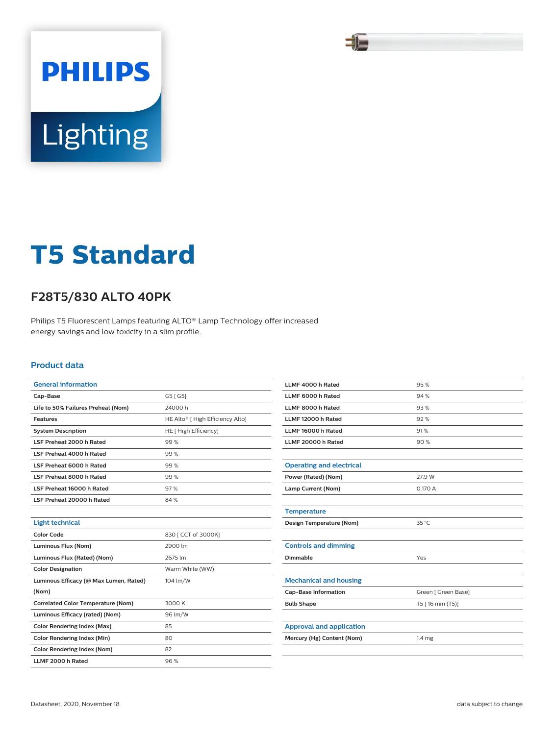

# **PHILIPS** Lighting

## **T5 Standard**

### **F28T5/830 ALTO 40PK**

Philips T5 Fluorescent Lamps featuring ALTO® Lamp Technology offer increased energy savings and low toxicity in a slim profile.

#### **Product data**

| <b>General information</b>                |                                  |
|-------------------------------------------|----------------------------------|
| Cap-Base                                  | G5 [G5]                          |
| Life to 50% Failures Preheat (Nom)        | 24000h                           |
| <b>Features</b>                           | HE Alto® [ High Efficiency Alto] |
| <b>System Description</b>                 | HE [ High Efficiency]            |
| LSF Preheat 2000 h Rated                  | 99%                              |
| LSF Preheat 4000 h Rated                  | 99%                              |
| LSF Preheat 6000 h Rated                  | 99%                              |
| LSF Preheat 8000 h Rated                  | 99%                              |
| LSF Preheat 16000 h Rated                 | 97%                              |
| LSF Preheat 20000 h Rated                 | 84%                              |
|                                           |                                  |
| <b>Light technical</b>                    |                                  |
| Color Code                                | 830   CCT of 3000K]              |
| Luminous Flux (Nom)                       | 2900 lm                          |
| Luminous Flux (Rated) (Nom)               | 2675 lm                          |
| <b>Color Designation</b>                  | Warm White (WW)                  |
| Luminous Efficacy (@ Max Lumen, Rated)    | 104 lm/W                         |
| (Nom)                                     |                                  |
| <b>Correlated Color Temperature (Nom)</b> | 3000 K                           |
| Luminous Efficacy (rated) (Nom)           | 96 lm/W                          |
| <b>Color Rendering Index (Max)</b>        | 85                               |
| <b>Color Rendering Index (Min)</b>        | 80                               |
| <b>Color Rendering Index (Nom)</b>        | 82                               |
| LLMF 2000 h Rated                         | 96%                              |

| LLMF 4000 h Rated               | 95%                 |
|---------------------------------|---------------------|
| LLMF 6000 h Rated               | 94%                 |
| LLMF 8000 h Rated               | 93%                 |
| LLMF 12000 h Rated              | 92%                 |
| LLMF 16000 h Rated              | 91%                 |
| LLMF 20000 h Rated              | 90%                 |
|                                 |                     |
| <b>Operating and electrical</b> |                     |
| Power (Rated) (Nom)             | 27.9 W              |
| Lamp Current (Nom)              | 0.170 A             |
|                                 |                     |
| <b>Temperature</b>              |                     |
| Design Temperature (Nom)        | 35 °C               |
|                                 |                     |
| <b>Controls and dimming</b>     |                     |
| Dimmable                        | Yes                 |
|                                 |                     |
| <b>Mechanical and housing</b>   |                     |
| <b>Cap-Base Information</b>     | Green [ Green Base] |
| <b>Bulb Shape</b>               | T5 [16 mm (T5)]     |
|                                 |                     |
| <b>Approval and application</b> |                     |
| Mercury (Hg) Content (Nom)      | 1.4 mg              |
|                                 |                     |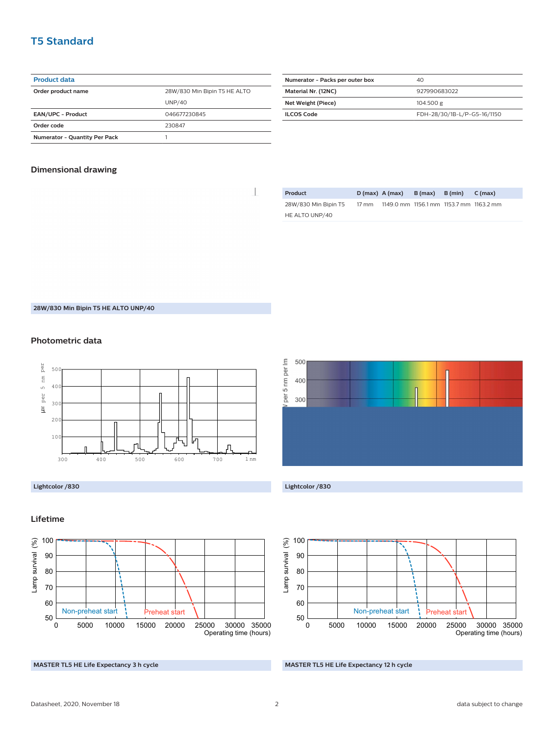#### **T5 Standard**

#### **Product data**

| Order product name                   | 28W/830 Min Bipin T5 HE ALTO |
|--------------------------------------|------------------------------|
|                                      | UNP/40                       |
| <b>EAN/UPC - Product</b>             | 046677230845                 |
| Order code                           | 230847                       |
| <b>Numerator - Quantity Per Pack</b> |                              |

| Numerator - Packs per outer box | 40                          |
|---------------------------------|-----------------------------|
| Material Nr. (12NC)             | 927990683022                |
| Net Weight (Piece)              | 104.500 g                   |
| <b>ILCOS Code</b>               | FDH-28/30/1B-L/P-G5-16/1150 |

#### **Dimensional drawing**

 $\begin{array}{c} \hline \end{array}$ 

| Product              | $D(max)$ A (max) |                                         | $B(max)$ $B(min)$ | C (max) |  |
|----------------------|------------------|-----------------------------------------|-------------------|---------|--|
| 28W/830 Min Bipin T5 | 17 mm            | 1149.0 mm 1156.1 mm 1153.7 mm 1163.2 mm |                   |         |  |
| HE ALTO UNP/40       |                  |                                         |                   |         |  |

**28W/830 Min Bipin T5 HE ALTO UNP/40**

#### **Photometric data**









#### **MASTER TL5 HE Life Expectancy 12 h cycle**

#### **Lifetime**



**MASTER TL5 HE Life Expectancy 3 h cycle**